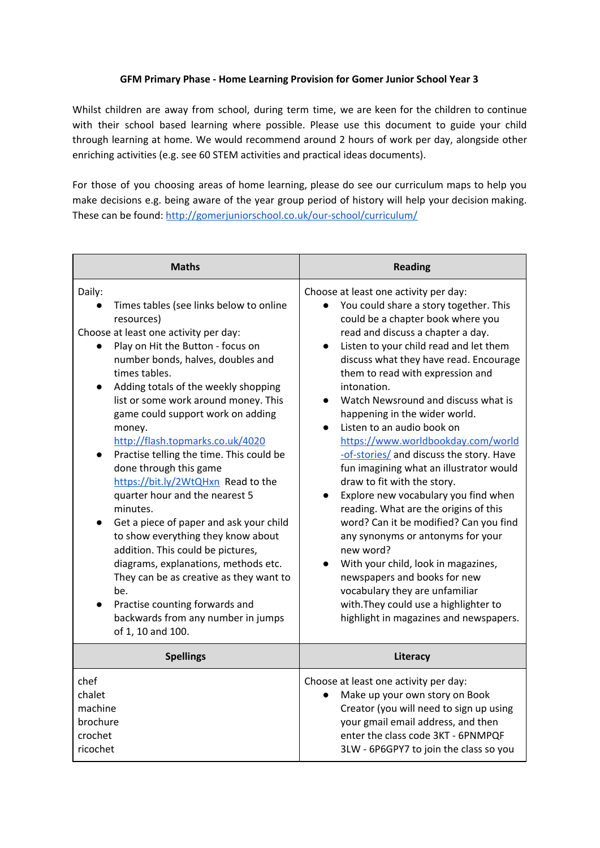### **GFM Primary Phase - Home Learning Provision for Gomer Junior School Year 3**

Whilst children are away from school, during term time, we are keen for the children to continue with their school based learning where possible. Please use this document to guide your child through learning at home. We would recommend around 2 hours of work per day, alongside other enriching activities (e.g. see 60 STEM activities and practical ideas documents).

For those of you choosing areas of home learning, please do see our curriculum maps to help you make decisions e.g. being aware of the year group period of history will help your decision making. These can be found: <http://gomerjuniorschool.co.uk/our-school/curriculum/>

| <b>Maths</b>                                                                                                                                                                                                                                                                                                                                                                                                                                                                                                                                                                                                                                                                                                                                                                                                                                                                         | <b>Reading</b>                                                                                                                                                                                                                                                                                                                                                                                                                                                                                                                                                                                                                                                                                                                                                                                                                                                                                                                                           |
|--------------------------------------------------------------------------------------------------------------------------------------------------------------------------------------------------------------------------------------------------------------------------------------------------------------------------------------------------------------------------------------------------------------------------------------------------------------------------------------------------------------------------------------------------------------------------------------------------------------------------------------------------------------------------------------------------------------------------------------------------------------------------------------------------------------------------------------------------------------------------------------|----------------------------------------------------------------------------------------------------------------------------------------------------------------------------------------------------------------------------------------------------------------------------------------------------------------------------------------------------------------------------------------------------------------------------------------------------------------------------------------------------------------------------------------------------------------------------------------------------------------------------------------------------------------------------------------------------------------------------------------------------------------------------------------------------------------------------------------------------------------------------------------------------------------------------------------------------------|
| Daily:<br>Times tables (see links below to online<br>resources)<br>Choose at least one activity per day:<br>Play on Hit the Button - focus on<br>number bonds, halves, doubles and<br>times tables.<br>Adding totals of the weekly shopping<br>$\bullet$<br>list or some work around money. This<br>game could support work on adding<br>money.<br>http://flash.topmarks.co.uk/4020<br>Practise telling the time. This could be<br>$\bullet$<br>done through this game<br>https://bit.ly/2WtQHxn Read to the<br>quarter hour and the nearest 5<br>minutes.<br>Get a piece of paper and ask your child<br>$\bullet$<br>to show everything they know about<br>addition. This could be pictures,<br>diagrams, explanations, methods etc.<br>They can be as creative as they want to<br>be.<br>Practise counting forwards and<br>backwards from any number in jumps<br>of 1, 10 and 100. | Choose at least one activity per day:<br>You could share a story together. This<br>could be a chapter book where you<br>read and discuss a chapter a day.<br>Listen to your child read and let them<br>discuss what they have read. Encourage<br>them to read with expression and<br>intonation.<br>Watch Newsround and discuss what is<br>happening in the wider world.<br>Listen to an audio book on<br>https://www.worldbookday.com/world<br>-of-stories/ and discuss the story. Have<br>fun imagining what an illustrator would<br>draw to fit with the story.<br>Explore new vocabulary you find when<br>$\bullet$<br>reading. What are the origins of this<br>word? Can it be modified? Can you find<br>any synonyms or antonyms for your<br>new word?<br>With your child, look in magazines,<br>newspapers and books for new<br>vocabulary they are unfamiliar<br>with. They could use a highlighter to<br>highlight in magazines and newspapers. |
| <b>Spellings</b>                                                                                                                                                                                                                                                                                                                                                                                                                                                                                                                                                                                                                                                                                                                                                                                                                                                                     | Literacy                                                                                                                                                                                                                                                                                                                                                                                                                                                                                                                                                                                                                                                                                                                                                                                                                                                                                                                                                 |
| chef<br>chalet<br>machine<br>brochure<br>crochet<br>ricochet                                                                                                                                                                                                                                                                                                                                                                                                                                                                                                                                                                                                                                                                                                                                                                                                                         | Choose at least one activity per day:<br>Make up your own story on Book<br>Creator (you will need to sign up using<br>your gmail email address, and then<br>enter the class code 3KT - 6PNMPQF<br>3LW - 6P6GPY7 to join the class so you                                                                                                                                                                                                                                                                                                                                                                                                                                                                                                                                                                                                                                                                                                                 |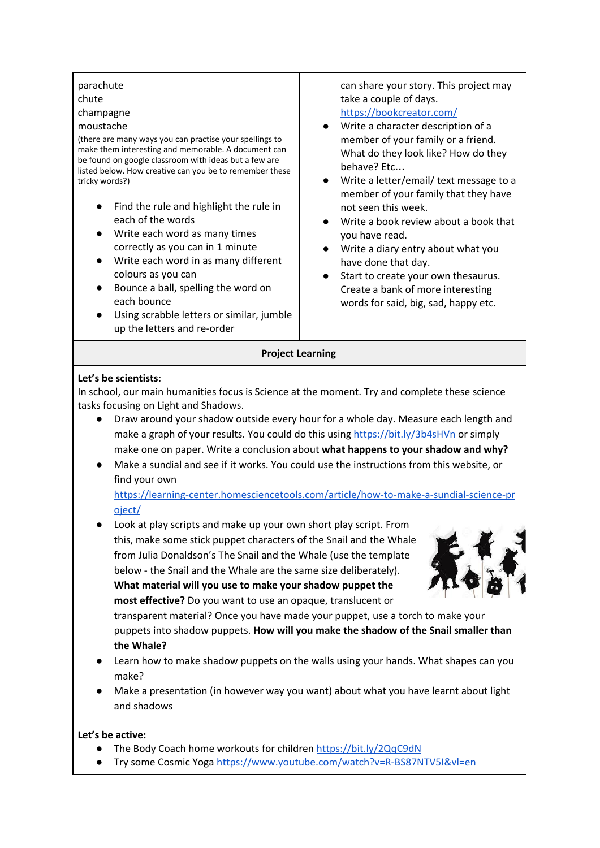| parachute<br>chute<br>champagne<br>moustache<br>(there are many ways you can practise your spellings to<br>make them interesting and memorable. A document can<br>be found on google classroom with ideas but a few are<br>listed below. How creative can you be to remember these<br>tricky words?)<br>Find the rule and highlight the rule in<br>each of the words<br>Write each word as many times<br>correctly as you can in 1 minute<br>Write each word in as many different<br>colours as you can<br>Bounce a ball, spelling the word on<br>each bounce<br>Using scrabble letters or similar, jumble<br>up the letters and re-order | can share your story. This project may<br>take a couple of days.<br>https://bookcreator.com/<br>Write a character description of a<br>member of your family or a friend.<br>What do they look like? How do they<br>behave? Etc<br>Write a letter/email/ text message to a<br>member of your family that they have<br>not seen this week.<br>Write a book review about a book that<br>you have read.<br>Write a diary entry about what you<br>have done that day.<br>Start to create your own thesaurus.<br>Create a bank of more interesting<br>words for said, big, sad, happy etc. |
|-------------------------------------------------------------------------------------------------------------------------------------------------------------------------------------------------------------------------------------------------------------------------------------------------------------------------------------------------------------------------------------------------------------------------------------------------------------------------------------------------------------------------------------------------------------------------------------------------------------------------------------------|--------------------------------------------------------------------------------------------------------------------------------------------------------------------------------------------------------------------------------------------------------------------------------------------------------------------------------------------------------------------------------------------------------------------------------------------------------------------------------------------------------------------------------------------------------------------------------------|
| <b>Project Learning</b>                                                                                                                                                                                                                                                                                                                                                                                                                                                                                                                                                                                                                   |                                                                                                                                                                                                                                                                                                                                                                                                                                                                                                                                                                                      |

### **Let's be scientists:**

In school, our main humanities focus is Science at the moment. Try and complete these science tasks focusing on Light and Shadows.

- Draw around your shadow outside every hour for a whole day. Measure each length and make a graph of your results. You could do this using <https://bit.ly/3b4sHVn> or simply make one on paper. Write a conclusion about **what happens to your shadow and why?**
- Make a sundial and see if it works. You could use the instructions from this website, or find your own

[https://learning-center.homesciencetools.com/article/how-to-make-a-sundial-science-pr](https://learning-center.homesciencetools.com/article/how-to-make-a-sundial-science-project/) [oject/](https://learning-center.homesciencetools.com/article/how-to-make-a-sundial-science-project/)

● Look at play scripts and make up your own short play script. From this, make some stick puppet characters of the Snail and the Whale from Julia Donaldson's The Snail and the Whale (use the template below - the Snail and the Whale are the same size deliberately). **What material will you use to make your shadow puppet the most effective?** Do you want to use an opaque, translucent or



transparent material? Once you have made your puppet, use a torch to make your puppets into shadow puppets. **How will you make the shadow of the Snail smaller than the Whale?**

- Learn how to make shadow puppets on the walls using your hands. What shapes can you make?
- Make a presentation (in however way you want) about what you have learnt about light and shadows

#### **Let's be active:**

- The Body Coach home workouts for children <https://bit.ly/2QqC9dN>
- Try some Cosmic Yoga <https://www.youtube.com/watch?v=R-BS87NTV5I&vl=en>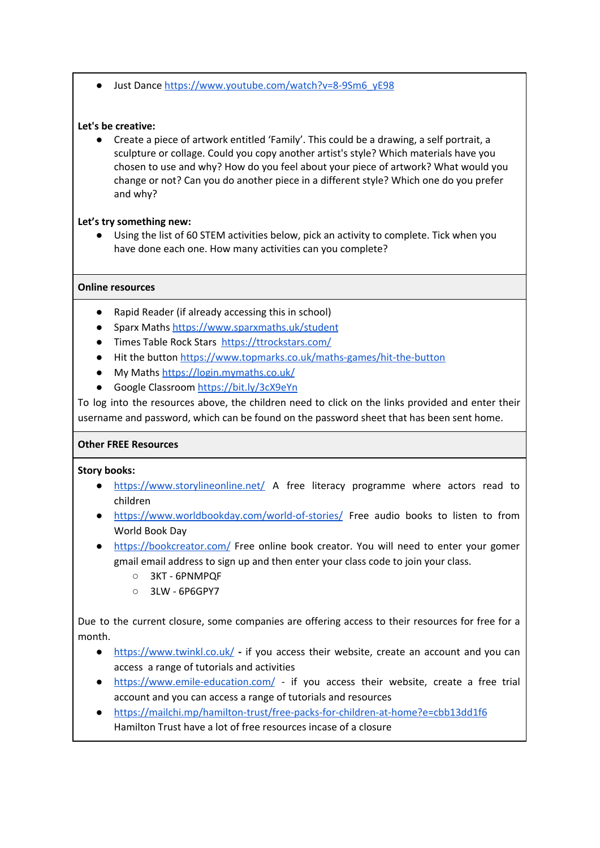● Just Dance https://www.youtube.com/watch?v=8-9Sm6\_vE98

## **Let's be creative:**

● Create a piece of artwork entitled 'Family'. This could be a drawing, a self portrait, a sculpture or collage. Could you copy another artist's style? Which materials have you chosen to use and why? How do you feel about your piece of artwork? What would you change or not? Can you do another piece in a different style? Which one do you prefer and why?

# **Let's try something new:**

● Using the list of 60 STEM activities below, pick an activity to complete. Tick when you have done each one. How many activities can you complete?

# **Online resources**

- Rapid Reader (if already accessing this in school)
- Sparx Maths <https://www.sparxmaths.uk/student>
- Times Table Rock Stars <https://ttrockstars.com/>
- Hit the button <https://www.topmarks.co.uk/maths-games/hit-the-button>
- My Maths <https://login.mymaths.co.uk/>
- Google Classroom <https://bit.ly/3cX9eYn>

To log into the resources above, the children need to click on the links provided and enter their username and password, which can be found on the password sheet that has been sent home.

## **Other FREE Resources**

**Story books:**

- <https://www.storylineonline.net/> A free literacy programme where actors read to children
- <https://www.worldbookday.com/world-of-stories/> Free audio books to listen to from World Book Day
- <https://bookcreator.com/> Free online book creator. You will need to enter your gomer gmail email address to sign up and then enter your class code to join your class.
	- 3KT 6PNMPQF
	- 3LW 6P6GPY7

Due to the current closure, some companies are offering access to their resources for free for a month.

- **●** <https://www.twinkl.co.uk/> **-** if you access their website, create an account and you can access a range of tutorials and activities
- <https://www.emile-education.com/> if you access their website, create a free trial account and you can access a range of tutorials and resources
- <https://mailchi.mp/hamilton-trust/free-packs-for-children-at-home?e=cbb13dd1f6> Hamilton Trust have a lot of free resources incase of a closure